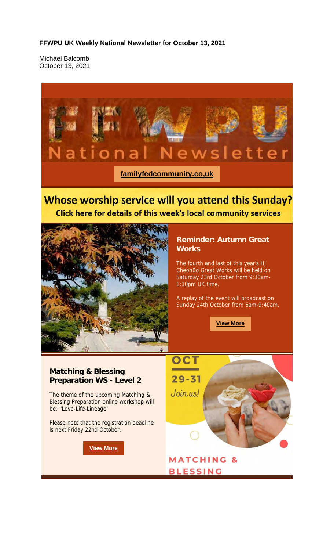#### **FFWPU UK Weekly National Newsletter for October 13, 2021**

Michael Balcomb October 13, 2021

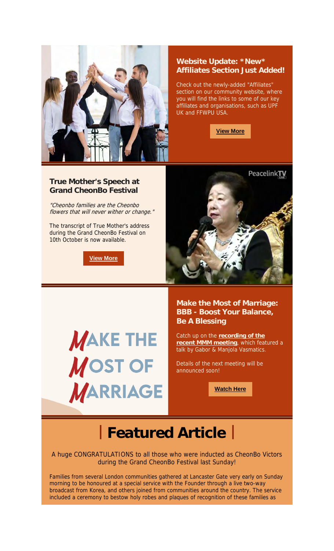

### **Website Update: \*New\* Affiliates Section Just Added!**

Check out the newly-added "Affiliates" section on our community website, where you will find the links to some of our key affiliates and organisations, such as UPF UK and FFWPU USA.

**View More**

### **True Mother's Speech at Grand CheonBo Festival**

"Cheonbo families are the Cheonbo flowers that will never wither or change."

The transcript of True Mother's address during the Grand CheonBo Festival on 10th October is now available.

**View More**



**MAKE THE** MOST OF **MARRIAGE**  **Make the Most of Marriage: BBB - Boost Your Balance, Be A Blessing**

Catch up on the **recording of the recent MMM meeting**, which featured a talk by Gabor & Manjola Vasmatics.

Details of the next meeting will be announced soon!

**Watch Here**

## **| Featured Article |**

A huge CONGRATULATIONS to all those who were inducted as CheonBo Victors during the Grand CheonBo Festival last Sunday!

Families from several London communities gathered at Lancaster Gate very early on Sunday morning to be honoured at a special service with the Founder through a live two-way broadcast from Korea, and others joined from communities around the country. The service included a ceremony to bestow holy robes and plaques of recognition of these families as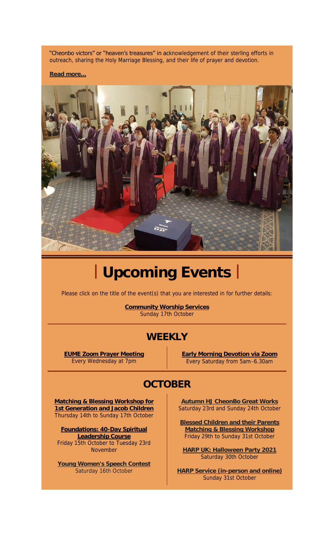"Cheonbo victors" or "heaven's treasures" in acknowledgement of their sterling efforts in outreach, sharing the Holy Marriage Blessing, and their life of prayer and devotion.

**Read more...**



# **| Upcoming Events |**

Please click on the title of the event(s) that you are interested in for further details:

**Community Worship Services** Sunday 17th October

## **WEEKLY**

**EUME Zoom Prayer Meeting** Every Wednesday at 7pm

**Early Morning Devotion via Zoom** Every Saturday from 5am–6.30am

## **OCTOBER**

**Matching & Blessing Workshop for 1st Generation and Jacob Children** Thursday 14th to Sunday 17th October

**Foundations: 40-Day Spiritual Leadership Course** Friday 15th October to Tuesday 23rd November

**Young Women's Speech Contest** Saturday 16th October

**Autumn HJ CheonBo Great Works** Saturday 23rd and Sunday 24th October

**Blessed Children and their Parents Atching & Blessing Workshop** Friday 29th to Sunday 31st October

**HARP UK: Halloween Party 2021** Saturday 30th October

**HARP Service (in-person and online)** Sunday 31st October